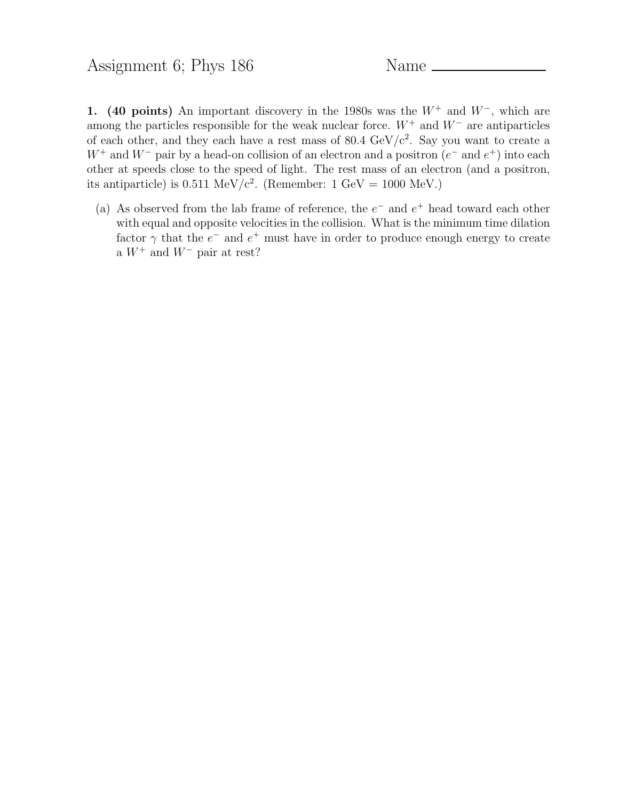1. (40 points) An important discovery in the 1980s was the  $W^+$  and  $W^-$ , which are among the particles responsible for the weak nuclear force.  $W^+$  and  $W^-$  are antiparticles of each other, and they each have a rest mass of  $80.4 \text{ GeV}/c^2$ . Say you want to create a  $W^+$  and  $W^-$  pair by a head-on collision of an electron and a positron  $(e^-$  and  $e^+)$  into each other at speeds close to the speed of light. The rest mass of an electron (and a positron, its antiparticle) is  $0.511 \text{ MeV}/c^2$ . (Remember:  $1 \text{ GeV} = 1000 \text{ MeV}$ .)

(a) As observed from the lab frame of reference, the  $e^-$  and  $e^+$  head toward each other with equal and opposite velocities in the collision. What is the minimum time dilation factor  $\gamma$  that the  $e^-$  and  $e^+$  must have in order to produce enough energy to create a  $W^+$  and  $W^-$  pair at rest?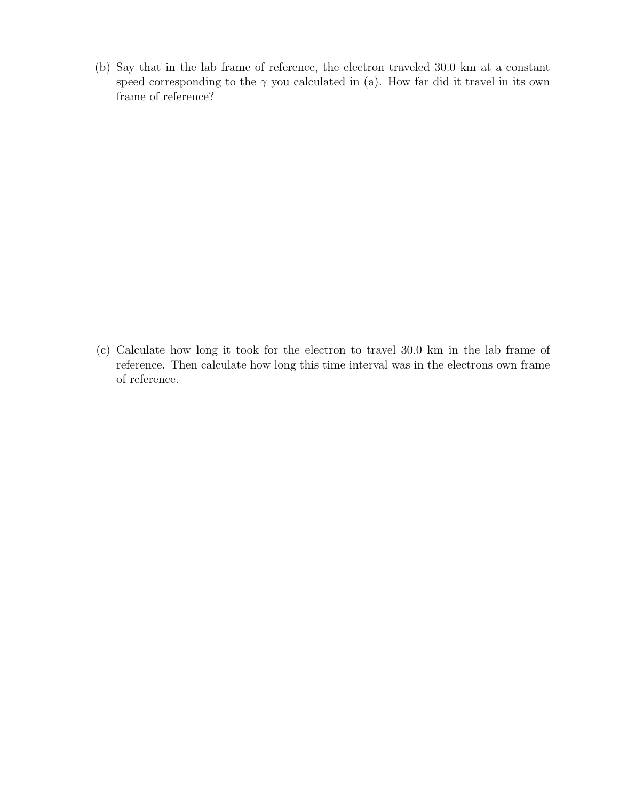(b) Say that in the lab frame of reference, the electron traveled 30.0 km at a constant speed corresponding to the  $\gamma$  you calculated in (a). How far did it travel in its own frame of reference?

(c) Calculate how long it took for the electron to travel 30.0 km in the lab frame of reference. Then calculate how long this time interval was in the electrons own frame of reference.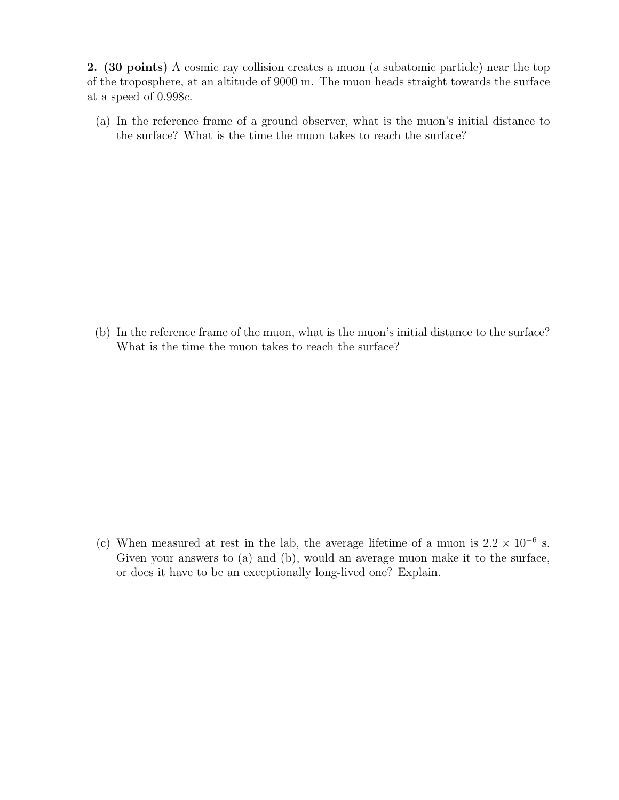2. (30 points) A cosmic ray collision creates a muon (a subatomic particle) near the top of the troposphere, at an altitude of 9000 m. The muon heads straight towards the surface at a speed of 0.998c.

(a) In the reference frame of a ground observer, what is the muon's initial distance to the surface? What is the time the muon takes to reach the surface?

(b) In the reference frame of the muon, what is the muon's initial distance to the surface? What is the time the muon takes to reach the surface?

(c) When measured at rest in the lab, the average lifetime of a muon is  $2.2 \times 10^{-6}$  s. Given your answers to (a) and (b), would an average muon make it to the surface, or does it have to be an exceptionally long-lived one? Explain.